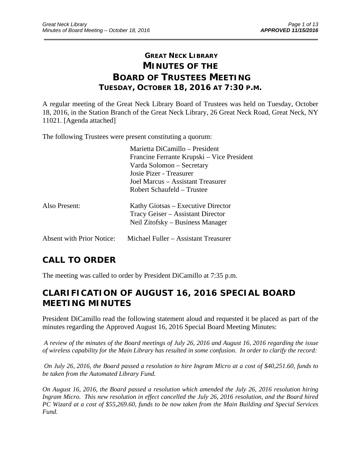# **GREAT NECK LIBRARY MINUTES OF THE BOARD OF TRUSTEES MEETING TUESDAY, OCTOBER 18, 2016 AT 7:30 P.M.**

\_\_\_\_\_\_\_\_\_\_\_\_\_\_\_\_\_\_\_\_\_\_\_\_\_\_\_\_\_\_\_\_\_\_\_\_\_\_\_\_\_\_\_\_\_\_\_\_\_\_\_\_\_\_\_\_\_\_\_\_\_\_\_\_\_\_\_\_\_\_\_\_\_\_\_\_\_\_\_\_\_\_\_\_\_\_\_\_\_\_\_\_\_

A regular meeting of the Great Neck Library Board of Trustees was held on Tuesday, October 18, 2016, in the Station Branch of the Great Neck Library, 26 Great Neck Road, Great Neck, NY 11021. [Agenda attached]

The following Trustees were present constituting a quorum:

|                           | Marietta DiCamillo – President<br>Francine Ferrante Krupski – Vice President<br>Varda Solomon – Secretary<br>Josie Pizer - Treasurer<br>Joel Marcus – Assistant Treasurer<br>Robert Schaufeld – Trustee |
|---------------------------|---------------------------------------------------------------------------------------------------------------------------------------------------------------------------------------------------------|
| Also Present:             | Kathy Giotsas – Executive Director<br>Tracy Geiser – Assistant Director<br>Neil Zitofsky – Business Manager                                                                                             |
| Absent with Prior Notice: | Michael Fuller - Assistant Treasurer                                                                                                                                                                    |

# **CALL TO ORDER**

The meeting was called to order by President DiCamillo at 7:35 p.m.

# **CLARIFICATION OF AUGUST 16, 2016 SPECIAL BOARD MEETING MINUTES**

President DiCamillo read the following statement aloud and requested it be placed as part of the minutes regarding the Approved August 16, 2016 Special Board Meeting Minutes:

*A review of the minutes of the Board meetings of July 26, 2016 and August 16, 2016 regarding the issue of wireless capability for the Main Library has resulted in some confusion. In order to clarify the record:*

 *On July 26, 2016, the Board passed a resolution to hire Ingram Micro at a cost of \$40,251.60, funds to be taken from the Automated Library Fund.*

*On August 16, 2016, the Board passed a resolution which amended the July 26, 2016 resolution hiring Ingram Micro. This new resolution in effect cancelled the July 26, 2016 resolution, and the Board hired PC Wizard at a cost of \$55,269.60, funds to be now taken from the Main Building and Special Services Fund.*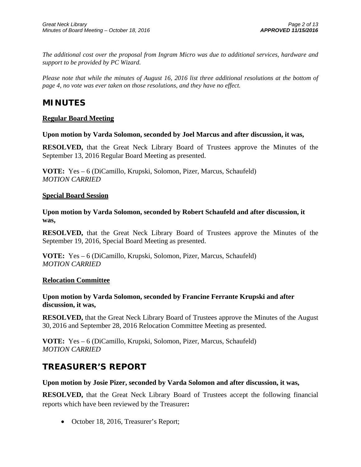*The additional cost over the proposal from Ingram Micro was due to additional services, hardware and support to be provided by PC Wizard.* 

*Please note that while the minutes of August 16, 2016 list three additional resolutions at the bottom of page 4, no vote was ever taken on those resolutions, and they have no effect.*

## **MINUTES**

## **Regular Board Meeting**

**Upon motion by Varda Solomon, seconded by Joel Marcus and after discussion, it was,** 

**RESOLVED,** that the Great Neck Library Board of Trustees approve the Minutes of the September 13, 2016 Regular Board Meeting as presented.

**VOTE:** Yes – 6 (DiCamillo, Krupski, Solomon, Pizer, Marcus, Schaufeld) *MOTION CARRIED* 

## **Special Board Session**

**Upon motion by Varda Solomon, seconded by Robert Schaufeld and after discussion, it was,** 

**RESOLVED,** that the Great Neck Library Board of Trustees approve the Minutes of the September 19, 2016, Special Board Meeting as presented.

**VOTE:** Yes – 6 (DiCamillo, Krupski, Solomon, Pizer, Marcus, Schaufeld) *MOTION CARRIED* 

## **Relocation Committee**

**Upon motion by Varda Solomon, seconded by Francine Ferrante Krupski and after discussion, it was,** 

**RESOLVED,** that the Great Neck Library Board of Trustees approve the Minutes of the August 30, 2016 and September 28, 2016 Relocation Committee Meeting as presented.

**VOTE:** Yes – 6 (DiCamillo, Krupski, Solomon, Pizer, Marcus, Schaufeld) *MOTION CARRIED* 

# **TREASURER'S REPORT**

## **Upon motion by Josie Pizer, seconded by Varda Solomon and after discussion, it was,**

**RESOLVED,** that the Great Neck Library Board of Trustees accept the following financial reports which have been reviewed by the Treasurer**:** 

• October 18, 2016, Treasurer's Report;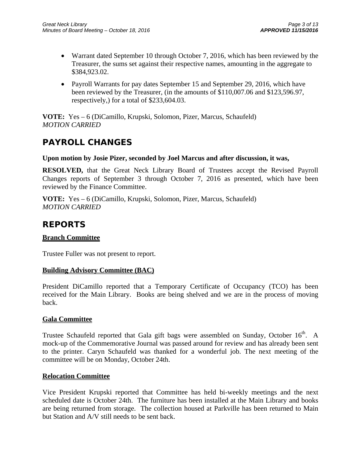- Warrant dated September 10 through October 7, 2016, which has been reviewed by the Treasurer, the sums set against their respective names, amounting in the aggregate to \$384,923.02.
- Payroll Warrants for pay dates September 15 and September 29, 2016, which have been reviewed by the Treasurer, (in the amounts of \$110,007.06 and \$123,596.97, respectively,) for a total of \$233,604.03.

**VOTE:** Yes – 6 (DiCamillo, Krupski, Solomon, Pizer, Marcus, Schaufeld) *MOTION CARRIED* 

# **PAYROLL CHANGES**

## **Upon motion by Josie Pizer, seconded by Joel Marcus and after discussion, it was,**

**RESOLVED,** that the Great Neck Library Board of Trustees accept the Revised Payroll Changes reports of September 3 through October 7, 2016 as presented, which have been reviewed by the Finance Committee.

**VOTE:** Yes – 6 (DiCamillo, Krupski, Solomon, Pizer, Marcus, Schaufeld) *MOTION CARRIED* 

# **REPORTS**

## **Branch Committee**

Trustee Fuller was not present to report.

## **Building Advisory Committee (BAC)**

President DiCamillo reported that a Temporary Certificate of Occupancy (TCO) has been received for the Main Library. Books are being shelved and we are in the process of moving back.

## **Gala Committee**

Trustee Schaufeld reported that Gala gift bags were assembled on Sunday, October  $16<sup>th</sup>$ . A mock-up of the Commemorative Journal was passed around for review and has already been sent to the printer. Caryn Schaufeld was thanked for a wonderful job. The next meeting of the committee will be on Monday, October 24th.

## **Relocation Committee**

Vice President Krupski reported that Committee has held bi-weekly meetings and the next scheduled date is October 24th. The furniture has been installed at the Main Library and books are being returned from storage. The collection housed at Parkville has been returned to Main but Station and A/V still needs to be sent back.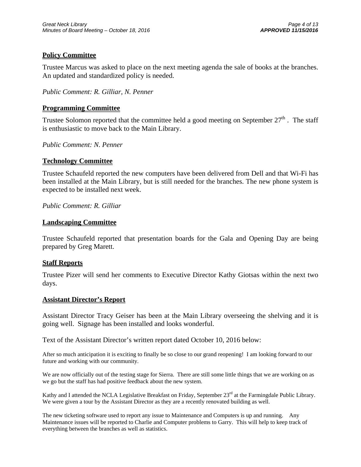## **Policy Committee**

Trustee Marcus was asked to place on the next meeting agenda the sale of books at the branches. An updated and standardized policy is needed.

*Public Comment: R. Gilliar, N. Penner* 

## **Programming Committee**

Trustee Solomon reported that the committee held a good meeting on September  $27<sup>th</sup>$ . The staff is enthusiastic to move back to the Main Library.

### *Public Comment: N. Penner*

### **Technology Committee**

Trustee Schaufeld reported the new computers have been delivered from Dell and that Wi-Fi has been installed at the Main Library, but is still needed for the branches. The new phone system is expected to be installed next week.

## *Public Comment: R. Gilliar*

### **Landscaping Committee**

Trustee Schaufeld reported that presentation boards for the Gala and Opening Day are being prepared by Greg Marett.

### **Staff Reports**

Trustee Pizer will send her comments to Executive Director Kathy Giotsas within the next two days.

### **Assistant Director's Report**

Assistant Director Tracy Geiser has been at the Main Library overseeing the shelving and it is going well. Signage has been installed and looks wonderful.

Text of the Assistant Director's written report dated October 10, 2016 below:

After so much anticipation it is exciting to finally be so close to our grand reopening! I am looking forward to our future and working with our community.

We are now officially out of the testing stage for Sierra. There are still some little things that we are working on as we go but the staff has had positive feedback about the new system.

Kathy and I attended the NCLA Legislative Breakfast on Friday, September  $23<sup>rd</sup>$  at the Farmingdale Public Library. We were given a tour by the Assistant Director as they are a recently renovated building as well.

The new ticketing software used to report any issue to Maintenance and Computers is up and running. Any Maintenance issues will be reported to Charlie and Computer problems to Garry. This will help to keep track of everything between the branches as well as statistics.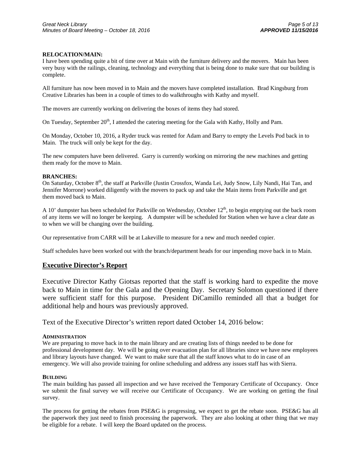#### **RELOCATION/MAIN:**

I have been spending quite a bit of time over at Main with the furniture delivery and the movers. Main has been very busy with the railings, cleaning, technology and everything that is being done to make sure that our building is complete.

All furniture has now been moved in to Main and the movers have completed installation. Brad Kingsburg from Creative Libraries has been in a couple of times to do walkthroughs with Kathy and myself.

The movers are currently working on delivering the boxes of items they had stored.

On Tuesday, September  $20<sup>th</sup>$ , I attended the catering meeting for the Gala with Kathy, Holly and Pam.

On Monday, October 10, 2016, a Ryder truck was rented for Adam and Barry to empty the Levels Pod back in to Main. The truck will only be kept for the day.

The new computers have been delivered. Garry is currently working on mirroring the new machines and getting them ready for the move to Main.

#### **BRANCHES:**

On Saturday, October 8<sup>th</sup>, the staff at Parkville (Justin Crossfox, Wanda Lei, Judy Snow, Lily Nandi, Hai Tan, and Jennifer Morrone) worked diligently with the movers to pack up and take the Main items from Parkville and get them moved back to Main.

A 10' dumpster has been scheduled for Parkville on Wednesday, October  $12<sup>th</sup>$ , to begin emptying out the back room of any items we will no longer be keeping. A dumpster will be scheduled for Station when we have a clear date as to when we will be changing over the building.

Our representative from CARR will be at Lakeville to measure for a new and much needed copier.

Staff schedules have been worked out with the branch/department heads for our impending move back in to Main.

### **Executive Director's Report**

Executive Director Kathy Giotsas reported that the staff is working hard to expedite the move back to Main in time for the Gala and the Opening Day. Secretary Solomon questioned if there were sufficient staff for this purpose. President DiCamillo reminded all that a budget for additional help and hours was previously approved.

Text of the Executive Director's written report dated October 14, 2016 below:

#### **ADMINISTRATION**

We are preparing to move back in to the main library and are creating lists of things needed to be done for professional development day. We will be going over evacuation plan for all libraries since we have new employees and library layouts have changed. We want to make sure that all the staff knows what to do in case of an emergency. We will also provide training for online scheduling and address any issues staff has with Sierra.

#### **BUILDING**

The main building has passed all inspection and we have received the Temporary Certificate of Occupancy. Once we submit the final survey we will receive our Certificate of Occupancy. We are working on getting the final survey.

The process for getting the rebates from PSE&G is progressing, we expect to get the rebate soon. PSE&G has all the paperwork they just need to finish processing the paperwork. They are also looking at other thing that we may be eligible for a rebate. I will keep the Board updated on the process.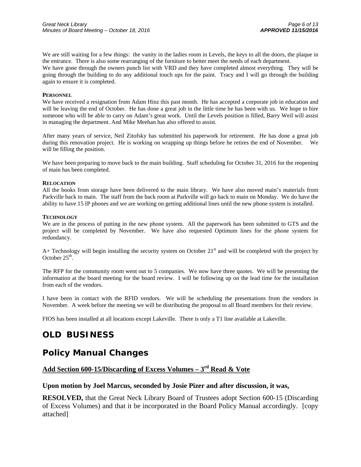We are still waiting for a few things: the vanity in the ladies room in Levels, the keys to all the doors, the plaque in the entrance. There is also some rearranging of the furniture to better meet the needs of each department.

We have gone through the owners punch list with VRD and they have completed almost everything. They will be going through the building to do any additional touch ups for the paint. Tracy and I will go through the building again to ensure it is completed.

#### **PERSONNEL**

We have received a resignation from Adam Hinz this past month. He has accepted a corporate job in education and will be leaving the end of October. He has done a great job in the little time he has been with us. We hope to hire someone who will be able to carry on Adam's great work. Until the Levels position is filled, Barry Weil will assist in managing the department. And Mike Meehan has also offered to assist.

After many years of service, Neil Zitofsky has submitted his paperwork for retirement. He has done a great job during this renovation project. He is working on wrapping up things before he retires the end of November. We will be filling the position.

We have been preparing to move back to the main building. Staff scheduling for October 31, 2016 for the reopening of main has been completed.

#### **RELOCATION**

All the books from storage have been delivered to the main library. We have also moved main's materials from Parkville back to main. The staff from the back room at Parkville will go back to main on Monday. We do have the ability to have 15 IP phones and we are working on getting additional lines until the new phone system is installed.

#### **TECHNOLOGY**

We are in the process of putting in the new phone system. All the paperwork has been submitted to GTS and the project will be completed by November. We have also requested Optimum lines for the phone system for redundancy.

A+ Technology will begin installing the security system on October  $21<sup>st</sup>$  and will be completed with the project by October  $25<sup>th</sup>$ .

The RFP for the community room went out to 5 companies. We now have three quotes. We will be presenting the information at the board meeting for the board review. I will be following up on the lead time for the installation from each of the vendors.

I have been in contact with the RFID vendors. We will be scheduling the presentations from the vendors in November. A week before the meeting we will be distributing the proposal to all Board members for their review.

FIOS has been installed at all locations except Lakeville. There is only a T1 line available at Lakeville.

# **OLD BUSINESS**

# **Policy Manual Changes**

## **Add Section 600-15/Discarding of Excess Volumes – 3rd Read & Vote**

#### **Upon motion by Joel Marcus, seconded by Josie Pizer and after discussion, it was,**

**RESOLVED,** that the Great Neck Library Board of Trustees adopt Section 600-15 (Discarding of Excess Volumes) and that it be incorporated in the Board Policy Manual accordingly. [copy attached]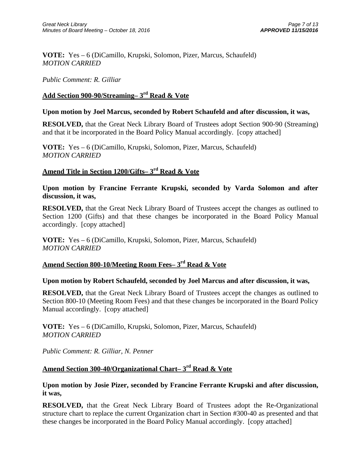**VOTE:** Yes – 6 (DiCamillo, Krupski, Solomon, Pizer, Marcus, Schaufeld) *MOTION CARRIED* 

## *Public Comment: R. Gilliar*

## **Add Section 900-90/Streaming– 3rd Read & Vote**

## **Upon motion by Joel Marcus, seconded by Robert Schaufeld and after discussion, it was,**

**RESOLVED,** that the Great Neck Library Board of Trustees adopt Section 900-90 (Streaming) and that it be incorporated in the Board Policy Manual accordingly. [copy attached]

**VOTE:** Yes – 6 (DiCamillo, Krupski, Solomon, Pizer, Marcus, Schaufeld) *MOTION CARRIED* 

## **Amend Title in Section 1200/Gifts– 3rd Read & Vote**

**Upon motion by Francine Ferrante Krupski, seconded by Varda Solomon and after discussion, it was,** 

**RESOLVED,** that the Great Neck Library Board of Trustees accept the changes as outlined to Section 1200 (Gifts) and that these changes be incorporated in the Board Policy Manual accordingly. [copy attached]

**VOTE:** Yes – 6 (DiCamillo, Krupski, Solomon, Pizer, Marcus, Schaufeld) *MOTION CARRIED* 

## **Amend Section 800-10/Meeting Room Fees– 3rd Read & Vote**

## **Upon motion by Robert Schaufeld, seconded by Joel Marcus and after discussion, it was,**

**RESOLVED,** that the Great Neck Library Board of Trustees accept the changes as outlined to Section 800-10 (Meeting Room Fees) and that these changes be incorporated in the Board Policy Manual accordingly. [copy attached]

**VOTE:** Yes – 6 (DiCamillo, Krupski, Solomon, Pizer, Marcus, Schaufeld) *MOTION CARRIED* 

*Public Comment: R. Gilliar, N. Penner* 

## **Amend Section 300-40/Organizational Chart– 3rd Read & Vote**

## **Upon motion by Josie Pizer, seconded by Francine Ferrante Krupski and after discussion, it was,**

**RESOLVED,** that the Great Neck Library Board of Trustees adopt the Re-Organizational structure chart to replace the current Organization chart in Section #300-40 as presented and that these changes be incorporated in the Board Policy Manual accordingly. [copy attached]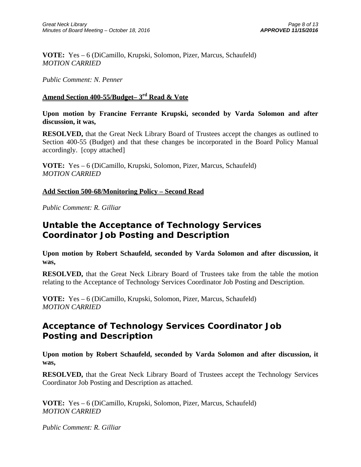**VOTE:** Yes – 6 (DiCamillo, Krupski, Solomon, Pizer, Marcus, Schaufeld) *MOTION CARRIED* 

*Public Comment: N. Penner* 

## **Amend Section 400-55/Budget– 3rd Read & Vote**

**Upon motion by Francine Ferrante Krupski, seconded by Varda Solomon and after discussion, it was,** 

**RESOLVED,** that the Great Neck Library Board of Trustees accept the changes as outlined to Section 400-55 (Budget) and that these changes be incorporated in the Board Policy Manual accordingly. [copy attached]

**VOTE:** Yes – 6 (DiCamillo, Krupski, Solomon, Pizer, Marcus, Schaufeld) *MOTION CARRIED* 

## **Add Section 500-68/Monitoring Policy – Second Read**

*Public Comment: R. Gilliar* 

# **Untable the Acceptance of Technology Services Coordinator Job Posting and Description**

**Upon motion by Robert Schaufeld, seconded by Varda Solomon and after discussion, it was,** 

**RESOLVED,** that the Great Neck Library Board of Trustees take from the table the motion relating to the Acceptance of Technology Services Coordinator Job Posting and Description.

**VOTE:** Yes – 6 (DiCamillo, Krupski, Solomon, Pizer, Marcus, Schaufeld) *MOTION CARRIED* 

# **Acceptance of Technology Services Coordinator Job Posting and Description**

**Upon motion by Robert Schaufeld, seconded by Varda Solomon and after discussion, it was,** 

**RESOLVED,** that the Great Neck Library Board of Trustees accept the Technology Services Coordinator Job Posting and Description as attached.

**VOTE:** Yes – 6 (DiCamillo, Krupski, Solomon, Pizer, Marcus, Schaufeld) *MOTION CARRIED* 

*Public Comment: R. Gilliar*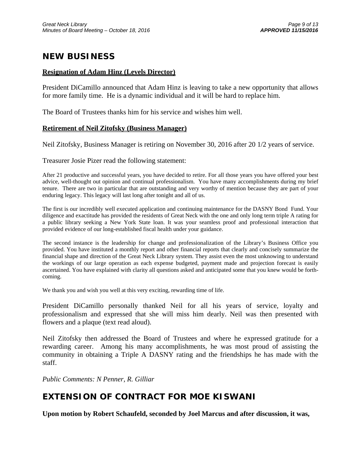# **NEW BUSINESS**

## **Resignation of Adam Hinz (Levels Director)**

President DiCamillo announced that Adam Hinz is leaving to take a new opportunity that allows for more family time. He is a dynamic individual and it will be hard to replace him.

The Board of Trustees thanks him for his service and wishes him well.

## **Retirement of Neil Zitofsky (Business Manager)**

Neil Zitofsky, Business Manager is retiring on November 30, 2016 after 20 1/2 years of service.

Treasurer Josie Pizer read the following statement:

After 21 productive and successful years, you have decided to retire. For all those years you have offered your best advice, well-thought out opinion and continual professionalism. You have many accomplishments during my brief tenure. There are two in particular that are outstanding and very worthy of mention because they are part of your enduring legacy. This legacy will last long after tonight and all of us.

The first is our incredibly well executed application and continuing maintenance for the DASNY Bond Fund. Your diligence and exactitude has provided the residents of Great Neck with the one and only long term triple A rating for a public library seeking a New York State loan. It was your seamless proof and professional interaction that provided evidence of our long-established fiscal health under your guidance.

The second instance is the leadership for change and professionalization of the Library's Business Office you provided. You have instituted a monthly report and other financial reports that clearly and concisely summarize the financial shape and direction of the Great Neck Library system. They assist even the most unknowing to understand the workings of our large operation as each expense budgeted, payment made and projection forecast is easily ascertained. You have explained with clarity all questions asked and anticipated some that you knew would be forthcoming.

We thank you and wish you well at this very exciting, rewarding time of life.

President DiCamillo personally thanked Neil for all his years of service, loyalty and professionalism and expressed that she will miss him dearly. Neil was then presented with flowers and a plaque (text read aloud).

Neil Zitofsky then addressed the Board of Trustees and where he expressed gratitude for a rewarding career. Among his many accomplishments, he was most proud of assisting the community in obtaining a Triple A DASNY rating and the friendships he has made with the staff.

*Public Comments: N Penner, R. Gilliar* 

# **EXTENSION OF CONTRACT FOR MOE KISWANI**

**Upon motion by Robert Schaufeld, seconded by Joel Marcus and after discussion, it was,**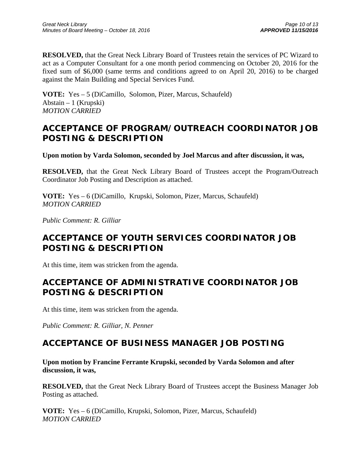**RESOLVED,** that the Great Neck Library Board of Trustees retain the services of PC Wizard to act as a Computer Consultant for a one month period commencing on October 20, 2016 for the fixed sum of \$6,000 (same terms and conditions agreed to on April 20, 2016) to be charged against the Main Building and Special Services Fund.

**VOTE:** Yes – 5 (DiCamillo, Solomon, Pizer, Marcus, Schaufeld) Abstain – 1 (Krupski) *MOTION CARRIED* 

# **ACCEPTANCE OF PROGRAM/OUTREACH COORDINATOR JOB POSTING & DESCRIPTION**

**Upon motion by Varda Solomon, seconded by Joel Marcus and after discussion, it was,** 

**RESOLVED,** that the Great Neck Library Board of Trustees accept the Program/Outreach Coordinator Job Posting and Description as attached.

**VOTE:** Yes – 6 (DiCamillo, Krupski, Solomon, Pizer, Marcus, Schaufeld) *MOTION CARRIED* 

*Public Comment: R. Gilliar* 

# **ACCEPTANCE OF YOUTH SERVICES COORDINATOR JOB POSTING & DESCRIPTION**

At this time, item was stricken from the agenda.

# **ACCEPTANCE OF ADMINISTRATIVE COORDINATOR JOB POSTING & DESCRIPTION**

At this time, item was stricken from the agenda.

*Public Comment: R. Gilliar, N. Penner* 

# **ACCEPTANCE OF BUSINESS MANAGER JOB POSTING**

**Upon motion by Francine Ferrante Krupski, seconded by Varda Solomon and after discussion, it was,** 

**RESOLVED,** that the Great Neck Library Board of Trustees accept the Business Manager Job Posting as attached.

**VOTE:** Yes – 6 (DiCamillo, Krupski, Solomon, Pizer, Marcus, Schaufeld) *MOTION CARRIED*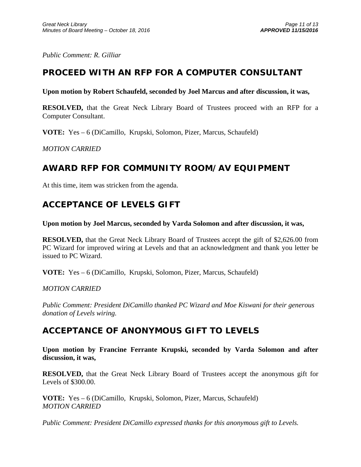*Public Comment: R. Gilliar* 

# **PROCEED WITH AN RFP FOR A COMPUTER CONSULTANT**

## **Upon motion by Robert Schaufeld, seconded by Joel Marcus and after discussion, it was,**

**RESOLVED,** that the Great Neck Library Board of Trustees proceed with an RFP for a Computer Consultant.

**VOTE:** Yes – 6 (DiCamillo, Krupski, Solomon, Pizer, Marcus, Schaufeld)

*MOTION CARRIED* 

# **AWARD RFP FOR COMMUNITY ROOM/AV EQUIPMENT**

At this time, item was stricken from the agenda.

# **ACCEPTANCE OF LEVELS GIFT**

**Upon motion by Joel Marcus, seconded by Varda Solomon and after discussion, it was,** 

**RESOLVED,** that the Great Neck Library Board of Trustees accept the gift of \$2,626.00 from PC Wizard for improved wiring at Levels and that an acknowledgment and thank you letter be issued to PC Wizard.

**VOTE:** Yes – 6 (DiCamillo, Krupski, Solomon, Pizer, Marcus, Schaufeld)

*MOTION CARRIED* 

*Public Comment: President DiCamillo thanked PC Wizard and Moe Kiswani for their generous donation of Levels wiring.* 

## **ACCEPTANCE OF ANONYMOUS GIFT TO LEVELS**

**Upon motion by Francine Ferrante Krupski, seconded by Varda Solomon and after discussion, it was,** 

**RESOLVED,** that the Great Neck Library Board of Trustees accept the anonymous gift for Levels of \$300.00.

**VOTE:** Yes – 6 (DiCamillo, Krupski, Solomon, Pizer, Marcus, Schaufeld) *MOTION CARRIED* 

*Public Comment: President DiCamillo expressed thanks for this anonymous gift to Levels.*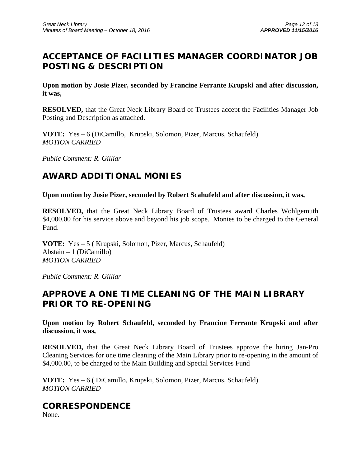# **ACCEPTANCE OF FACILITIES MANAGER COORDINATOR JOB POSTING & DESCRIPTION**

**Upon motion by Josie Pizer, seconded by Francine Ferrante Krupski and after discussion, it was,** 

**RESOLVED,** that the Great Neck Library Board of Trustees accept the Facilities Manager Job Posting and Description as attached.

**VOTE:** Yes – 6 (DiCamillo, Krupski, Solomon, Pizer, Marcus, Schaufeld) *MOTION CARRIED* 

*Public Comment: R. Gilliar* 

# **AWARD ADDITIONAL MONIES**

**Upon motion by Josie Pizer, seconded by Robert Scahufeld and after discussion, it was,** 

**RESOLVED,** that the Great Neck Library Board of Trustees award Charles Wohlgemuth \$4,000.00 for his service above and beyond his job scope. Monies to be charged to the General Fund.

**VOTE:** Yes – 5 ( Krupski, Solomon, Pizer, Marcus, Schaufeld) Abstain – 1 (DiCamillo) *MOTION CARRIED* 

*Public Comment: R. Gilliar* 

# **APPROVE A ONE TIME CLEANING OF THE MAIN LIBRARY PRIOR TO RE-OPENING**

**Upon motion by Robert Schaufeld, seconded by Francine Ferrante Krupski and after discussion, it was,** 

**RESOLVED,** that the Great Neck Library Board of Trustees approve the hiring Jan-Pro Cleaning Services for one time cleaning of the Main Library prior to re-opening in the amount of \$4,000.00, to be charged to the Main Building and Special Services Fund

**VOTE:** Yes – 6 ( DiCamillo, Krupski, Solomon, Pizer, Marcus, Schaufeld) *MOTION CARRIED* 

# **CORRESPONDENCE**

None.